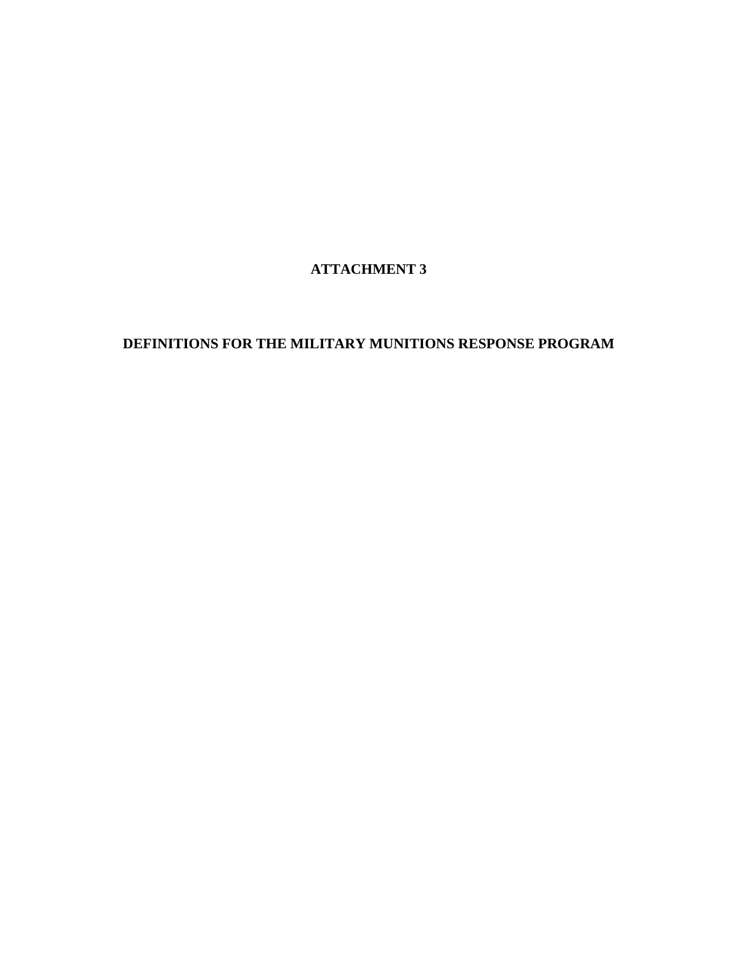## **ATTACHMENT 3**

## **DEFINITIONS FOR THE MILITARY MUNITIONS RESPONSE PROGRAM**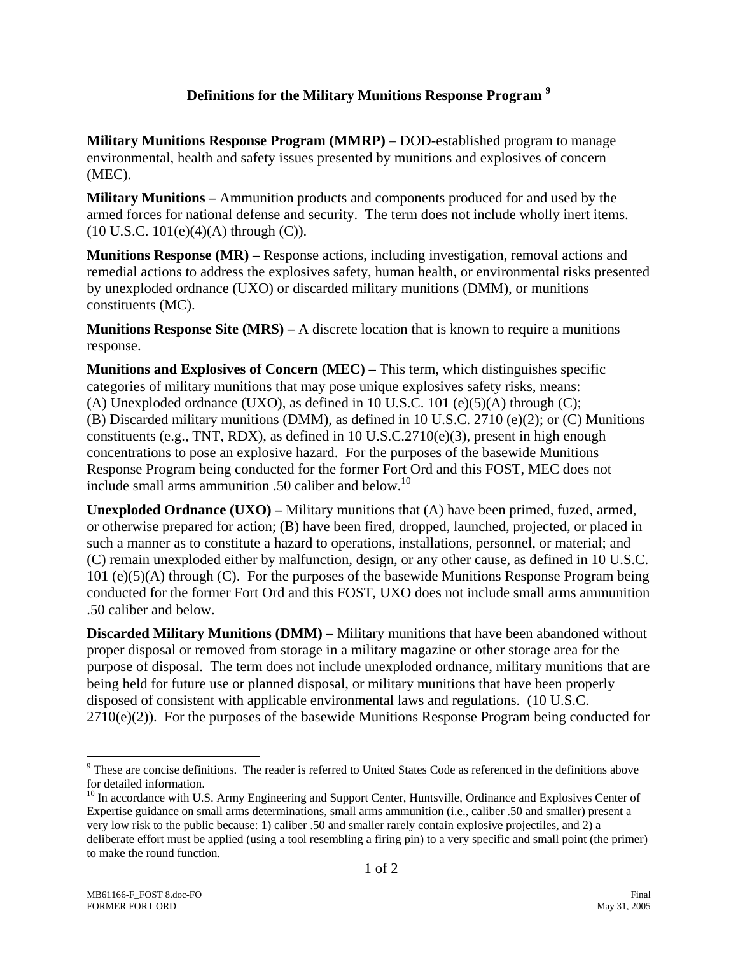## **Definitions for the Military Munitions Response Program <sup>9</sup>**

**Military Munitions Response Program (MMRP)** – DOD-established program to manage environmental, health and safety issues presented by munitions and explosives of concern (MEC).

**Military Munitions –** Ammunition products and components produced for and used by the armed forces for national defense and security. The term does not include wholly inert items.  $(10$  U.S.C.  $101(e)(4)(A)$  through  $(C)$ ).

**Munitions Response (MR) –** Response actions, including investigation, removal actions and remedial actions to address the explosives safety, human health, or environmental risks presented by unexploded ordnance (UXO) or discarded military munitions (DMM), or munitions constituents (MC).

**Munitions Response Site (MRS) –** A discrete location that is known to require a munitions response.

**Munitions and Explosives of Concern (MEC) –** This term, which distinguishes specific categories of military munitions that may pose unique explosives safety risks, means: (A) Unexploded ordnance (UXO), as defined in 10 U.S.C. 101 (e)(5)(A) through (C); (B) Discarded military munitions (DMM), as defined in 10 U.S.C. 2710 (e)(2); or (C) Munitions constituents (e.g., TNT, RDX), as defined in 10 U.S.C.2710(e)(3), present in high enough concentrations to pose an explosive hazard. For the purposes of the basewide Munitions Response Program being conducted for the former Fort Ord and this FOST, MEC does not include small arms ammunition .50 caliber and below.<sup>10</sup>

**Unexploded Ordnance (UXO) –** Military munitions that (A) have been primed, fuzed, armed, or otherwise prepared for action; (B) have been fired, dropped, launched, projected, or placed in such a manner as to constitute a hazard to operations, installations, personnel, or material; and (C) remain unexploded either by malfunction, design, or any other cause, as defined in 10 U.S.C. 101 (e)(5)(A) through (C). For the purposes of the basewide Munitions Response Program being conducted for the former Fort Ord and this FOST, UXO does not include small arms ammunition .50 caliber and below.

**Discarded Military Munitions (DMM) –** Military munitions that have been abandoned without proper disposal or removed from storage in a military magazine or other storage area for the purpose of disposal. The term does not include unexploded ordnance, military munitions that are being held for future use or planned disposal, or military munitions that have been properly disposed of consistent with applicable environmental laws and regulations. (10 U.S.C.  $2710(e)(2)$ ). For the purposes of the basewide Munitions Response Program being conducted for

l

<sup>&</sup>lt;sup>9</sup> These are concise definitions. The reader is referred to United States Code as referenced in the definitions above for detailed information.

<sup>&</sup>lt;sup>10</sup> In accordance with U.S. Army Engineering and Support Center, Huntsville, Ordinance and Explosives Center of Expertise guidance on small arms determinations, small arms ammunition (i.e., caliber .50 and smaller) present a very low risk to the public because: 1) caliber .50 and smaller rarely contain explosive projectiles, and 2) a deliberate effort must be applied (using a tool resembling a firing pin) to a very specific and small point (the primer) to make the round function.